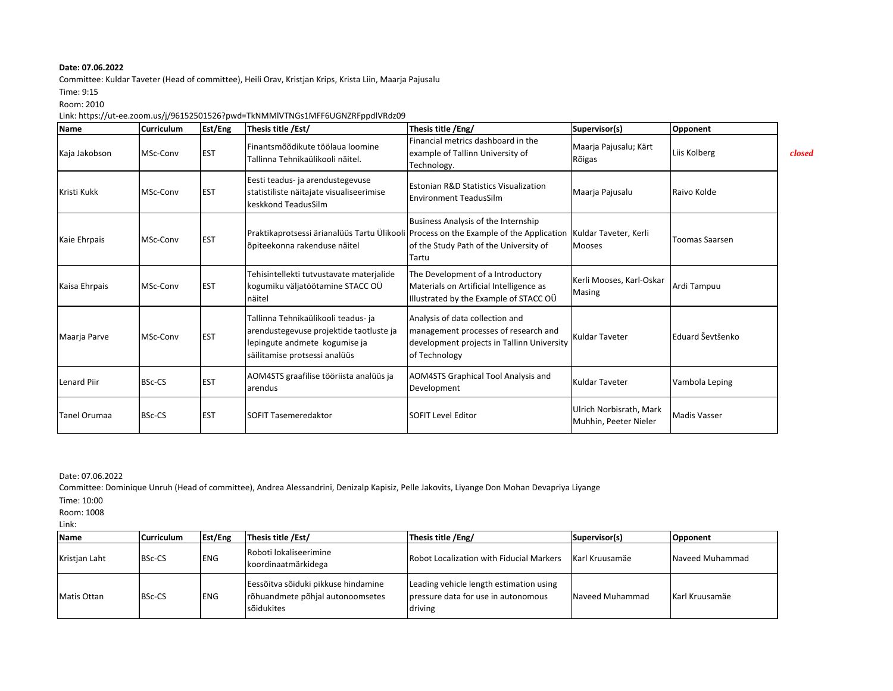Committee: Kuldar Taveter (Head of committee), Heili Orav, Kristjan Krips, Krista Liin, Maarja Pajusalu

Time: 9:15

Room: 2010

## Link: https://ut-ee.zoom.us/j/96152501526?pwd=TkNMMlVTNGs1MFF6UGNZRFppdlVRdz09

| <b>Name</b>         | <b>Curriculum</b> | Est/Eng    | Thesis title /Est/                                                                                                                               | Thesis title /Eng/                                                                                                                                                                                    | Supervisor(s)                                    | Opponent              |        |
|---------------------|-------------------|------------|--------------------------------------------------------------------------------------------------------------------------------------------------|-------------------------------------------------------------------------------------------------------------------------------------------------------------------------------------------------------|--------------------------------------------------|-----------------------|--------|
| Kaja Jakobson       | MSc-Conv          | <b>EST</b> | Finantsmõõdikute töölaua loomine<br>Tallinna Tehnikaülikooli näitel.                                                                             | Financial metrics dashboard in the<br>example of Tallinn University of<br>Technology.                                                                                                                 | Maarja Pajusalu; Kärt<br>Rõigas                  | Liis Kolberg          | closed |
| Kristi Kukk         | MSc-Conv          | <b>EST</b> | Eesti teadus- ja arendustegevuse<br>statistiliste näitajate visualiseerimise<br>keskkond TeadusSilm                                              | <b>Estonian R&amp;D Statistics Visualization</b><br><b>Environment TeadusSilm</b>                                                                                                                     | Maarja Pajusalu                                  | Raivo Kolde           |        |
| Kaie Ehrpais        | MSc-Conv          | <b>EST</b> | õpiteekonna rakenduse näitel                                                                                                                     | Business Analysis of the Internship<br>Praktikaprotsessi ärianalüüs Tartu Ülikooli Process on the Example of the Application Kuldar Taveter, Kerli<br>of the Study Path of the University of<br>Tartu | <b>Mooses</b>                                    | <b>Toomas Saarsen</b> |        |
| Kaisa Ehrpais       | MSc-Conv          | <b>EST</b> | Tehisintellekti tutvustavate materjalide<br>kogumiku väljatöötamine STACC OÜ<br>näitel                                                           | The Development of a Introductory<br>Materials on Artificial Intelligence as<br>Illustrated by the Example of STACC OÜ                                                                                | Kerli Mooses, Karl-Oskar<br>Masing               | Ardi Tampuu           |        |
| Maarja Parve        | MSc-Conv          | <b>EST</b> | Tallinna Tehnikaülikooli teadus- ja<br>arendustegevuse projektide taotluste ja<br>lepingute andmete kogumise ja<br>säilitamise protsessi analüüs | Analysis of data collection and<br>management processes of research and<br>development projects in Tallinn University<br>of Technology                                                                | Kuldar Taveter                                   | Eduard Ševtšenko      |        |
| <b>Lenard Piir</b>  | <b>BSc-CS</b>     | <b>EST</b> | AOM4STS graafilise tööriista analüüs ja<br>arendus                                                                                               | <b>AOM4STS Graphical Tool Analysis and</b><br>Development                                                                                                                                             | <b>Kuldar Taveter</b>                            | Vambola Leping        |        |
| <b>Tanel Orumaa</b> | <b>BSc-CS</b>     | <b>EST</b> | <b>SOFIT Tasemeredaktor</b>                                                                                                                      | <b>SOFIT Level Editor</b>                                                                                                                                                                             | Ulrich Norbisrath, Mark<br>Muhhin, Peeter Nieler | <b>Madis Vasser</b>   |        |

Date: 07.06.2022

Committee: Dominique Unruh (Head of committee), Andrea Alessandrini, Denizalp Kapisiz, Pelle Jakovits, Liyange Don Mohan Devapriya Liyange

Time: 10:00

Room: 1008

Link:

| Name          | <b>Curriculum</b> | Est/Eng    | Thesis title /Est/                                                                    | Thesis title /Eng/                                                                        | Supervisor(s)   | Opponent        |
|---------------|-------------------|------------|---------------------------------------------------------------------------------------|-------------------------------------------------------------------------------------------|-----------------|-----------------|
| Kristjan Laht | <b>BSc-CS</b>     | <b>ENG</b> | Roboti lokaliseerimine<br>koordinaatmärkidega                                         | <b>Robot Localization with Fiducial Markers</b>                                           | Karl Kruusamäe  | Naveed Muhammad |
| Matis Ottan   | <b>BSc-CS</b>     | <b>ENG</b> | Eessõitva sõiduki pikkuse hindamine<br>rõhuandmete põhjal autonoomsetes<br>sõidukites | Leading vehicle length estimation using<br>pressure data for use in autonomous<br>driving | Naveed Muhammad | Karl Kruusamäe  |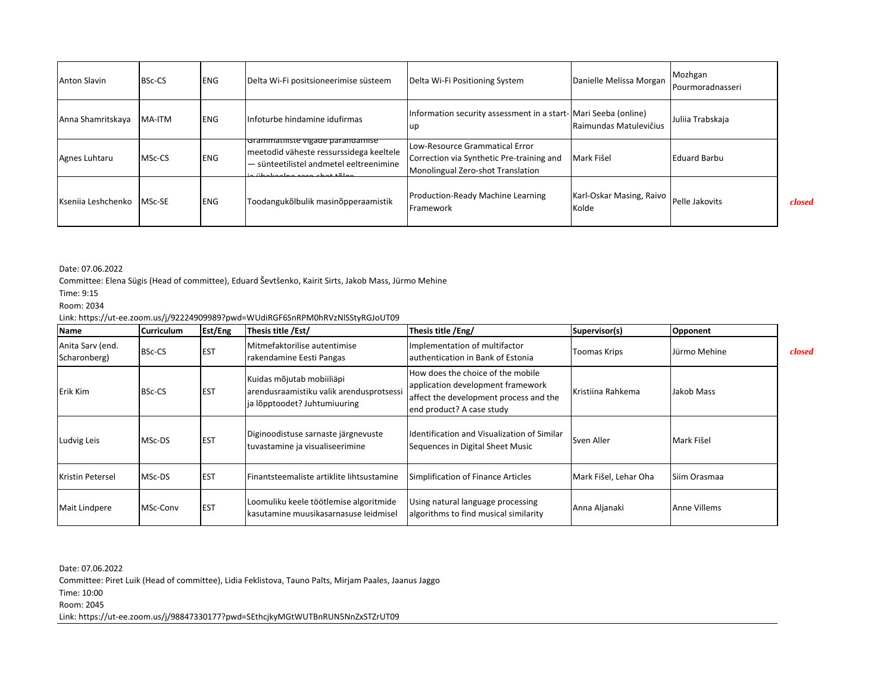| <b>Anton Slavin</b> | <b>BSc-CS</b> | <b>ENG</b> | Delta Wi-Fi positsioneerimise süsteem                                                                                                                  | Delta Wi-Fi Positioning System                                                                                   | Danielle Melissa Morgan           | Mozhgan<br>Pourmoradnasseri |        |
|---------------------|---------------|------------|--------------------------------------------------------------------------------------------------------------------------------------------------------|------------------------------------------------------------------------------------------------------------------|-----------------------------------|-----------------------------|--------|
| Anna Shamritskaya   | MA-ITM        | <b>ENG</b> | Infoturbe hindamine idufirmas                                                                                                                          | Information security assessment in a start- Mari Seeba (online)<br>up                                            | Raimundas Matulevičius            | Juliia Trabskaja            |        |
| Agnes Luhtaru       | MSc-CS        | <b>ENG</b> | Grammatiliste vigade parandamise<br>meetodid väheste ressurssidega keeltele<br>- sünteetilistel andmetel eeltreenimine<br>ia ühokoolna zara shat tõlga | Low-Resource Grammatical Error<br>Correction via Synthetic Pre-training and<br>Monolingual Zero-shot Translation | Mark Fišel                        | <b>Eduard Barbu</b>         |        |
| Ksenija Leshchenko  | MSc-SE        | <b>ENG</b> | Toodangukõlbulik masinõpperaamistik                                                                                                                    | Production-Ready Machine Learning<br>Framework                                                                   | Karl-Oskar Masing, Raivo<br>Kolde | Pelle Jakovits              | closed |

Committee: Elena Sügis (Head of committee), Eduard Ševtšenko, Kairit Sirts, Jakob Mass, Jürmo Mehine

Time: 9:15

Room: 2034

## Link: https://ut-ee.zoom.us/j/92224909989?pwd=WUdiRGF6SnRPM0hRVzNlSStyRGJoUT09

| <b>Name</b>                      | <b>Curriculum</b> | Est/Eng    | Thesis title /Est/                                                                                    | Thesis title /Eng/                                                                                                                            | Supervisor(s)         | Opponent            |        |
|----------------------------------|-------------------|------------|-------------------------------------------------------------------------------------------------------|-----------------------------------------------------------------------------------------------------------------------------------------------|-----------------------|---------------------|--------|
| Anita Sarv (end.<br>Scharonberg) | BSc-CS            | <b>EST</b> | Mitmefaktorilise autentimise<br>rakendamine Eesti Pangas                                              | Implementation of multifactor<br>authentication in Bank of Estonia                                                                            | Toomas Krips          | Jürmo Mehine        | closed |
| Erik Kim                         | <b>BSc-CS</b>     | <b>EST</b> | Kuidas mõjutab mobiiliäpi<br>arendusraamistiku valik arendusprotsessi<br>ja lõpptoodet? Juhtumiuuring | How does the choice of the mobile<br>application development framework<br>affect the development process and the<br>end product? A case study | Kristiina Rahkema     | Jakob Mass          |        |
| Ludvig Leis                      | MSc-DS            | <b>EST</b> | Diginoodistuse sarnaste järgnevuste<br>tuvastamine ja visualiseerimine                                | Identification and Visualization of Similar<br>Sequences in Digital Sheet Music                                                               | Sven Aller            | Mark Fišel          |        |
| <b>Kristin Petersel</b>          | MSc-DS            | <b>EST</b> | l Finantsteemaliste artiklite lihtsustamine                                                           | Simplification of Finance Articles                                                                                                            | Mark Fišel, Lehar Oha | <b>Siim Orasmaa</b> |        |
| <b>Mait Lindpere</b>             | MSc-Conv          | <b>EST</b> | Loomuliku keele töötlemise algoritmide<br>Ikasutamine muusikasarnasuse leidmisel                      | Using natural language processing<br>algorithms to find musical similarity                                                                    | Anna Aljanaki         | Anne Villems        |        |

Date: 07.06.2022

Committee: Piret Luik (Head of committee), Lidia Feklistova, Tauno Palts, Mirjam Paales, Jaanus Jaggo

Time: 10:00

Room: 2045

Link: https://ut-ee.zoom.us/j/98847330177?pwd=SEthcjkyMGtWUTBnRUN5NnZxSTZrUT09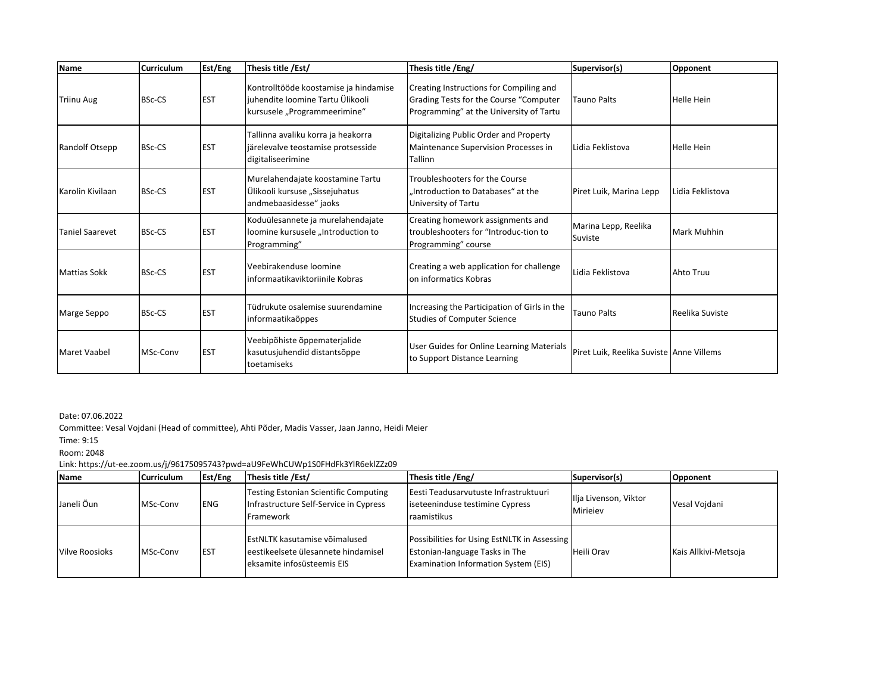| <b>Name</b>         | <b>Curriculum</b> | Est/Eng    | Thesis title /Est/                                                                                        | Thesis title /Eng/                                                                                                           | Supervisor(s)                             | Opponent           |
|---------------------|-------------------|------------|-----------------------------------------------------------------------------------------------------------|------------------------------------------------------------------------------------------------------------------------------|-------------------------------------------|--------------------|
| <b>Triinu Aug</b>   | <b>BSc-CS</b>     | <b>EST</b> | Kontrolltööde koostamise ja hindamise<br>juhendite loomine Tartu Ülikooli<br>kursusele "Programmeerimine" | Creating Instructions for Compiling and<br>Grading Tests for the Course "Computer<br>Programming" at the University of Tartu | <b>Tauno Palts</b>                        | <b>Helle Hein</b>  |
| Randolf Otsepp      | <b>BSc-CS</b>     | <b>EST</b> | Tallinna avaliku korra ja heakorra<br>järelevalve teostamise protsesside<br>digitaliseerimine             | Digitalizing Public Order and Property<br>Maintenance Supervision Processes in<br>Tallinn                                    | Lidia Feklistova                          | <b>Helle Hein</b>  |
| Karolin Kivilaan    | <b>BSc-CS</b>     | <b>EST</b> | Murelahendajate koostamine Tartu<br>Ülikooli kursuse "Sissejuhatus<br>andmebaasidesse" jaoks              | Troubleshooters for the Course<br>.Introduction to Databases" at the<br>University of Tartu                                  | Piret Luik, Marina Lepp                   | Lidia Feklistova   |
| Taniel Saarevet     | <b>BSc-CS</b>     | <b>EST</b> | Koduülesannete ja murelahendajate<br>loomine kursusele "Introduction to<br>Programming"                   | Creating homework assignments and<br>troubleshooters for "Introduc-tion to<br>Programming" course                            | Marina Lepp, Reelika<br>Suviste           | <b>Mark Muhhin</b> |
| <b>Mattias Sokk</b> | <b>BSc-CS</b>     | <b>EST</b> | Veebirakenduse loomine<br>informaatikaviktoriinile Kobras                                                 | Creating a web application for challenge<br>on informatics Kobras                                                            | Lidia Feklistova                          | Ahto Truu          |
| Marge Seppo         | <b>BSc-CS</b>     | <b>EST</b> | Tüdrukute osalemise suurendamine<br>informaatikaõppes                                                     | Increasing the Participation of Girls in the<br><b>Studies of Computer Science</b>                                           | <b>Tauno Palts</b>                        | Reelika Suviste    |
| <b>Maret Vaabel</b> | MSc-Conv          | <b>EST</b> | Veebipõhiste õppematerjalide<br>kasutusjuhendid distantsõppe<br>toetamiseks                               | User Guides for Online Learning Materials<br>to Support Distance Learning                                                    | Piret Luik. Reelika Suviste lAnne Villems |                    |

Committee: Vesal Vojdani (Head of committee), Ahti Põder, Madis Vasser, Jaan Janno, Heidi Meier

Time: 9:15

Room: 2048

Link: https://ut-ee.zoom.us/j/96175095743?pwd=aU9FeWhCUWp1S0FHdFk3YlR6eklZZz09

| <b>Name</b>           | <b>Curriculum</b> | Est/Eng    | Thesis title /Est/                                                                                         | Thesis title /Eng/                                                                                                            | Supervisor(s)                     | <b>Opponent</b>      |
|-----------------------|-------------------|------------|------------------------------------------------------------------------------------------------------------|-------------------------------------------------------------------------------------------------------------------------------|-----------------------------------|----------------------|
| Janeli Õun            | MSc-Conv          | <b>ENG</b> | <b>Testing Estonian Scientific Computing</b><br>Infrastructure Self-Service in Cypress<br>Framework        | Eesti Teadusarvutuste Infrastruktuuri<br>iseteeninduse testimine Cypress<br>raamistikus                                       | Ilja Livenson, Viktor<br>Mirieiev | Vesal Voidani        |
| <b>Vilve Roosioks</b> | MSc-Conv          | <b>EST</b> | <b>EstNLTK kasutamise võimalused</b><br>leestikeelsete ülesannete hindamisel<br>eksamite infosüsteemis EIS | Possibilities for Using EstNLTK in Assessing<br>Estonian-language Tasks in The<br><b>Examination Information System (EIS)</b> | Heili Orav                        | Kais Allkivi-Metsoja |